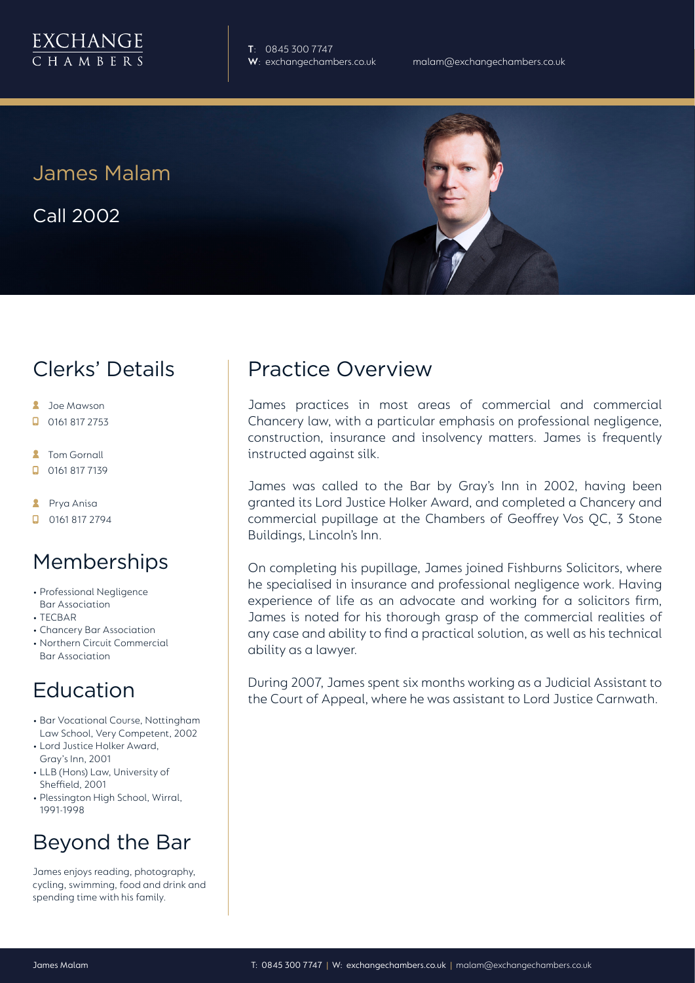

**T**: 0845 300 7747

James Malam

Call 2002

# Clerks' Details

- **2** Joe Mawson
- $\Box$  0161 817 2753
- **2** Tom Gornall
- 0161 817 7139
- **A** Prya Anisa
- **D** 0161 817 2794

### Memberships

- Professional Negligence Bar Association
- TECBAR
- Chancery Bar Association
- Northern Circuit Commercial Bar Association

# Education

- Bar Vocational Course, Nottingham Law School, Very Competent, 2002
- Lord Justice Holker Award, Gray's Inn, 2001
- LLB (Hons) Law, University of Sheffield, 2001
- Plessington High School, Wirral, 1991-1998

# Beyond the Bar

James enjoys reading, photography, cycling, swimming, food and drink and spending time with his family.

# Practice Overview

James practices in most areas of commercial and commercial Chancery law, with a particular emphasis on professional negligence, construction, insurance and insolvency matters. James is frequently instructed against silk.

James was called to the Bar by Gray's Inn in 2002, having been granted its Lord Justice Holker Award, and completed a Chancery and commercial pupillage at the Chambers of Geoffrey Vos QC, 3 Stone Buildings, Lincoln's Inn.

On completing his pupillage, James joined Fishburns Solicitors, where he specialised in insurance and professional negligence work. Having experience of life as an advocate and working for a solicitors firm, James is noted for his thorough grasp of the commercial realities of any case and ability to find a practical solution, as well as his technical ability as a lawyer.

During 2007, James spent six months working as a Judicial Assistant to the Court of Appeal, where he was assistant to Lord Justice Carnwath.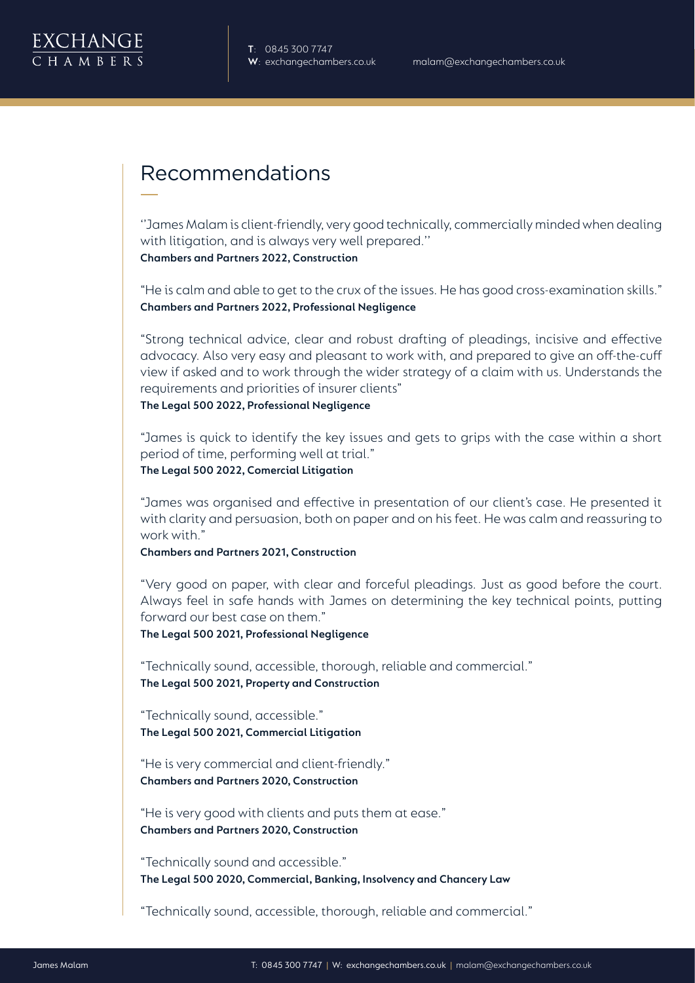

# Recommendations

''James Malam is client-friendly, very good technically, commercially minded when dealing with litigation, and is always very well prepared.'' **Chambers and Partners 2022, Construction**

"He is calm and able to get to the crux of the issues. He has good cross-examination skills." **Chambers and Partners 2022, Professional Negligence**

"Strong technical advice, clear and robust drafting of pleadings, incisive and effective advocacy. Also very easy and pleasant to work with, and prepared to give an off-the-cuff view if asked and to work through the wider strategy of a claim with us. Understands the requirements and priorities of insurer clients"

**The Legal 500 2022, Professional Negligence**

"James is quick to identify the key issues and gets to grips with the case within a short period of time, performing well at trial."

**The Legal 500 2022, Comercial Litigation**

"James was organised and effective in presentation of our client's case. He presented it with clarity and persuasion, both on paper and on his feet. He was calm and reassuring to work with."

**Chambers and Partners 2021, Construction**

"Very good on paper, with clear and forceful pleadings. Just as good before the court. Always feel in safe hands with James on determining the key technical points, putting forward our best case on them."

**The Legal 500 2021, Professional Negligence**

"Technically sound, accessible, thorough, reliable and commercial." **The Legal 500 2021, Property and Construction**

"Technically sound, accessible." **The Legal 500 2021, Commercial Litigation**

"He is very commercial and client-friendly." **Chambers and Partners 2020, Construction**

"He is very good with clients and puts them at ease." **Chambers and Partners 2020, Construction**

"Technically sound and accessible." **The Legal 500 2020, Commercial, Banking, Insolvency and Chancery Law**

"Technically sound, accessible, thorough, reliable and commercial."